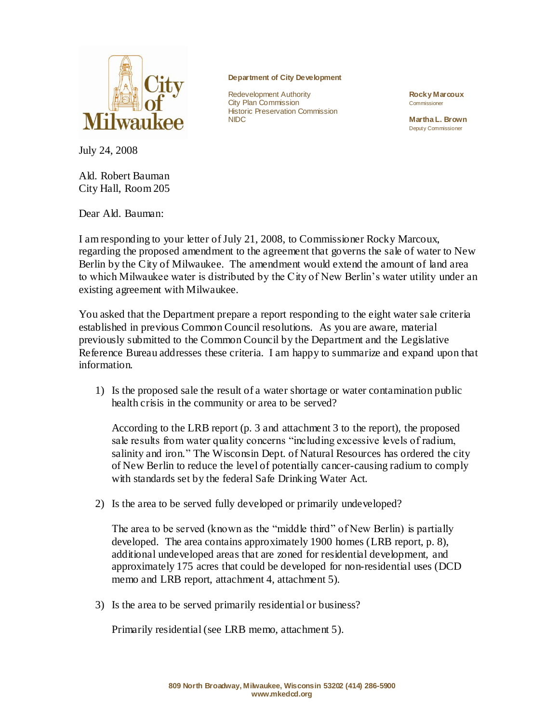

July 24, 2008

Ald. Robert Bauman City Hall, Room 205

Dear Ald. Bauman:

**Department of City Development**

Redevelopment Authority **Rocky Marcoux City Plan Commission** Commissioner **Historic Preservation Commission**<br>NIDC

**Martha L. Brown** Deputy Commissioner

I am responding to your letter of July 21, 2008, to Commissioner Rocky Marcoux, regarding the proposed amendment to the agreement that governs the sale of water to New Berlin by the City of Milwaukee. The amendment would extend the amount of land area to which Milwaukee water is distributed by the City of New Berlin's water utility under an existing agreement with Milwaukee.

You asked that the Department prepare a report responding to the eight water sale criteria established in previous Common Council resolutions. As you are aware, material previously submitted to the Common Council by the Department and the Legislative Reference Bureau addresses these criteria. I am happy to summarize and expand upon that information.

1) Is the proposed sale the result of a water shortage or water contamination public health crisis in the community or area to be served?

According to the LRB report (p. 3 and attachment 3 to the report), the proposed sale results from water quality concerns "including excessive levels of radium, salinity and iron." The Wisconsin Dept. of Natural Resources has ordered the city of New Berlin to reduce the level of potentially cancer-causing radium to comply with standards set by the federal Safe Drinking Water Act.

2) Is the area to be served fully developed or primarily undeveloped?

The area to be served (known as the "middle third" of New Berlin) is partially developed. The area contains approximately 1900 homes (LRB report, p. 8), additional undeveloped areas that are zoned for residential development, and approximately 175 acres that could be developed for non-residential uses (DCD memo and LRB report, attachment 4, attachment 5).

3) Is the area to be served primarily residential or business?

Primarily residential (see LRB memo, attachment 5).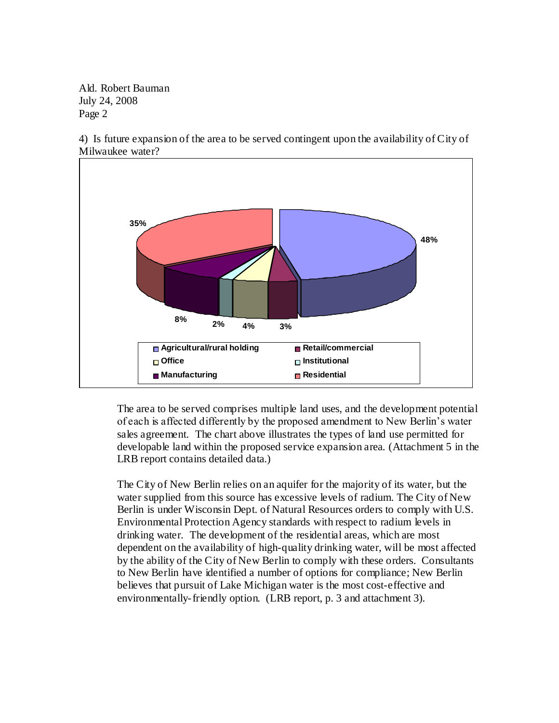Ald. Robert Bauman July 24, 2008 Page 2



4) Is future expansion of the area to be served contingent upon the availability of City of Milwaukee water?

The area to be served comprises multiple land uses, and the development potential of each is affected differently by the proposed amendment to New Berlin's water sales agreement. The chart above illustrates the types of land use permitted for developable land within the proposed service expansion area. (Attachment 5 in the LRB report contains detailed data.)

The City of New Berlin relies on an aquifer for the majority of its water, but the water supplied from this source has excessive levels of radium. The City of New Berlin is under Wisconsin Dept. of Natural Resources orders to comply with U.S. Environmental Protection Agency standards with respect to radium levels in drinking water. The development of the residential areas, which are most dependent on the availability of high-quality drinking water, will be most affected by the ability of the City of New Berlin to comply with these orders. Consultants to New Berlin have identified a number of options for compliance; New Berlin believes that pursuit of Lake Michigan water is the most cost-effective and environmentally-friendly option. (LRB report, p. 3 and attachment 3).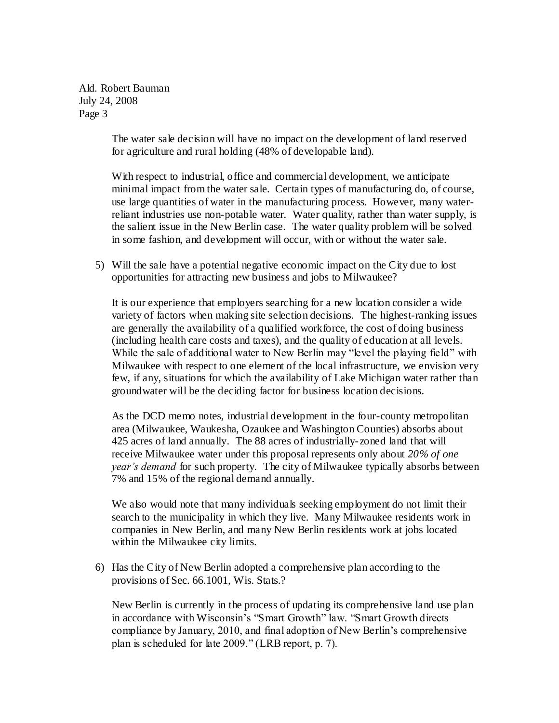Ald. Robert Bauman July 24, 2008 Page 3

> The water sale decision will have no impact on the development of land reserved for agriculture and rural holding (48% of developable land).

With respect to industrial, office and commercial development, we anticipate minimal impact from the water sale. Certain types of manufacturing do, of course, use large quantities of water in the manufacturing process. However, many waterreliant industries use non-potable water. Water quality, rather than water supply, is the salient issue in the New Berlin case. The water quality problem will be solved in some fashion, and development will occur, with or without the water sale.

5) Will the sale have a potential negative economic impact on the City due to lost opportunities for attracting new business and jobs to Milwaukee?

It is our experience that employers searching for a new location consider a wide variety of factors when making site selection decisions. The highest-ranking issues are generally the availability of a qualified workforce, the cost of doing business (including health care costs and taxes), and the quality of education at all levels. While the sale of additional water to New Berlin may "level the playing field" with Milwaukee with respect to one element of the local infrastructure, we envision very few, if any, situations for which the availability of Lake Michigan water rather than groundwater will be the deciding factor for business location decisions.

As the DCD memo notes, industrial development in the four-county metropolitan area (Milwaukee, Waukesha, Ozaukee and Washington Counties) absorbs about 425 acres of land annually. The 88 acres of industrially-zoned land that will receive Milwaukee water under this proposal represents only about *20% of one year's demand* for such property. The city of Milwaukee typically absorbs between 7% and 15% of the regional demand annually.

We also would note that many individuals seeking employment do not limit their search to the municipality in which they live. Many Milwaukee residents work in companies in New Berlin, and many New Berlin residents work at jobs located within the Milwaukee city limits.

6) Has the City of New Berlin adopted a comprehensive plan according to the provisions of Sec. 66.1001, Wis. Stats.?

New Berlin is currently in the process of updating its comprehensive land use plan in accordance with Wisconsin's "Smart Growth" law. "Smart Growth directs compliance by January, 2010, and final adoption of New Berlin's comprehensive plan is scheduled for late 2009." (LRB report, p. 7).